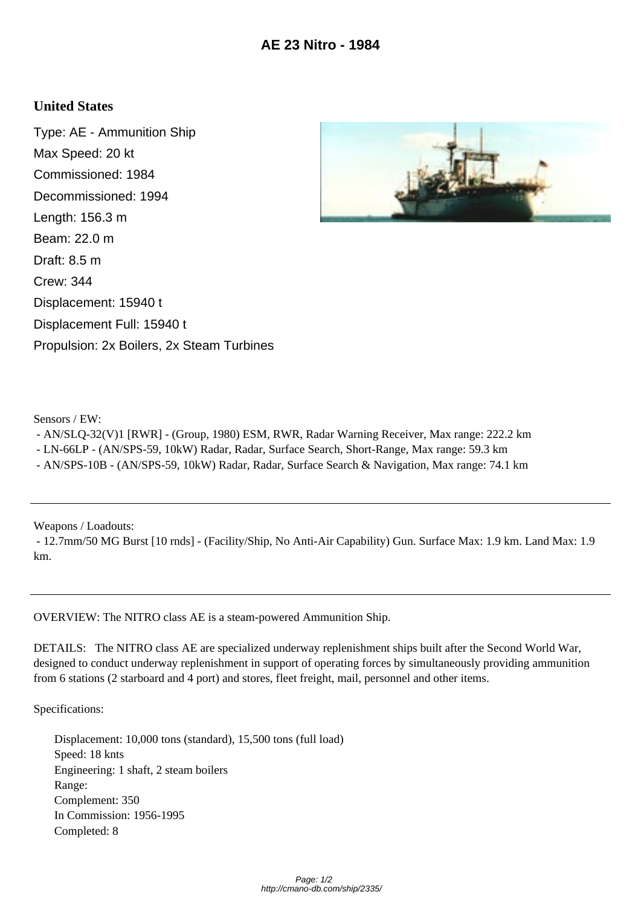## **United States**

Type: AE - Ammunition Ship Max Speed: 20 kt Commissioned: 1984 Decommissioned: 1994 Length: 156.3 m Beam: 22.0 m Draft: 8.5 m Crew: 344 Displacement: 15940 t Displacement Full: 15940 t Propulsion: 2x Boilers, 2x Steam Turbines



Sensors / EW:

- AN/SLQ-32(V)1 [RWR] - (Group, 1980) ESM, RWR, Radar Warning Receiver, Max range: 222.2 km

- LN-66LP - (AN/SPS-59, 10kW) Radar, Radar, Surface Search, Short-Range, Max range: 59.3 km

- AN/SPS-10B - (AN/SPS-59, 10kW) Radar, Radar, Surface Search & Navigation, Max range: 74.1 km

Weapons / Loadouts:

 - 12.7mm/50 MG Burst [10 rnds] - (Facility/Ship, No Anti-Air Capability) Gun. Surface Max: 1.9 km. Land Max: 1.9 km.

OVERVIEW: The NITRO class AE is a steam-powered Ammunition Ship.

DETAILS: The NITRO class AE are specialized underway replenishment ships built after the Second World War, designed to conduct underway replenishment in support of operating forces by simultaneously providing ammunition from 6 stations (2 starboard and 4 port) and stores, fleet freight, mail, personnel and other items.

Specifications:

 Displacement: 10,000 tons (standard), 15,500 tons (full load) Speed: 18 knts Engineering: 1 shaft, 2 steam boilers Range: Complement: 350 In Commission: 1956-1995 Completed: 8